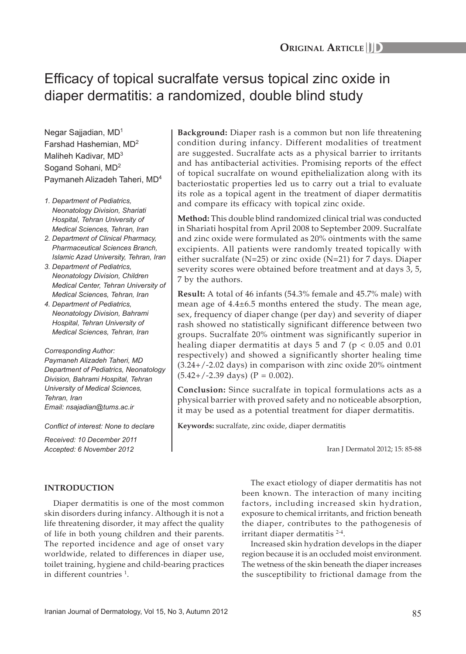# Efficacy of topical sucralfate versus topical zinc oxide in diaper dermatitis: a randomized, double blind study

Negar Sajjadian, MD1 Farshad Hashemian, MD2 Maliheh Kadivar, MD3 Sogand Sohani, MD2 Paymaneh Alizadeh Taheri, MD4

- *1. Department of Pediatrics, Neonatology Division, Shariati Hospital, Tehran University of Medical Sciences, Tehran, Iran*
- *2. Department of Clinical Pharmacy, Pharmaceutical Sciences Branch, Islamic Azad University, Tehran, Iran*
- *3. Department of Pediatrics, Neonatology Division, Children Medical Center, Tehran University of Medical Sciences, Tehran, Iran*
- *4. Department of Pediatrics, Neonatology Division, Bahrami Hospital, Tehran University of Medical Sciences, Tehran, Iran*

*Corresponding Author: Paymaneh Alizadeh Taheri, MD Department of Pediatrics, Neonatology Division, Bahrami Hospital, Tehran University of Medical Sciences, Tehran, Iran Email: nsajadian@tums.ac.ir*

*Conflict of interest: None to declare*

*Received: 10 December 2011 Accepted: 6 November 2012*

**Background:** Diaper rash is a common but non life threatening condition during infancy. Different modalities of treatment are suggested. Sucralfate acts as a physical barrier to irritants and has antibacterial activities. Promising reports of the effect of topical sucralfate on wound epithelialization along with its bacteriostatic properties led us to carry out a trial to evaluate its role as a topical agent in the treatment of diaper dermatitis and compare its efficacy with topical zinc oxide.

**Method:** This double blind randomized clinical trial was conducted in Shariati hospital from April 2008 to September 2009. Sucralfate and zinc oxide were formulated as 20% ointments with the same excipients. All patients were randomly treated topically with either sucralfate (N=25) or zinc oxide (N=21) for 7 days. Diaper severity scores were obtained before treatment and at days 3, 5, 7 by the authors.

**Result:** A total of 46 infants (54.3% female and 45.7% male) with mean age of 4.4±6.5 months entered the study. The mean age, sex, frequency of diaper change (per day) and severity of diaper rash showed no statistically significant difference between two groups. Sucralfate 20% ointment was significantly superior in healing diaper dermatitis at days 5 and 7 ( $p < 0.05$  and 0.01 respectively) and showed a significantly shorter healing time (3.24+/-2.02 days) in comparison with zinc oxide 20% ointment  $(5.42+/-2.39 \text{ days})$  (P = 0.002).

**Conclusion:** Since sucralfate in topical formulations acts as a physical barrier with proved safety and no noticeable absorption, it may be used as a potential treatment for diaper dermatitis.

**Keywords:** sucralfate, zinc oxide, diaper dermatitis

Iran J Dermatol 2012; 15: 85-88

## **Introduction**

Diaper dermatitis is one of the most common skin disorders during infancy. Although it is not a life threatening disorder, it may affect the quality of life in both young children and their parents. The reported incidence and age of onset vary worldwide, related to differences in diaper use, toilet training, hygiene and child-bearing practices in different countries <sup>1</sup>.

The exact etiology of diaper dermatitis has not been known. The interaction of many inciting factors, including increased skin hydration, exposure to chemical irritants, and friction beneath the diaper, contributes to the pathogenesis of irritant diaper dermatitis 2-4.

Increased skin hydration develops in the diaper region because it is an occluded moist environment. The wetness of the skin beneath the diaper increases the susceptibility to frictional damage from the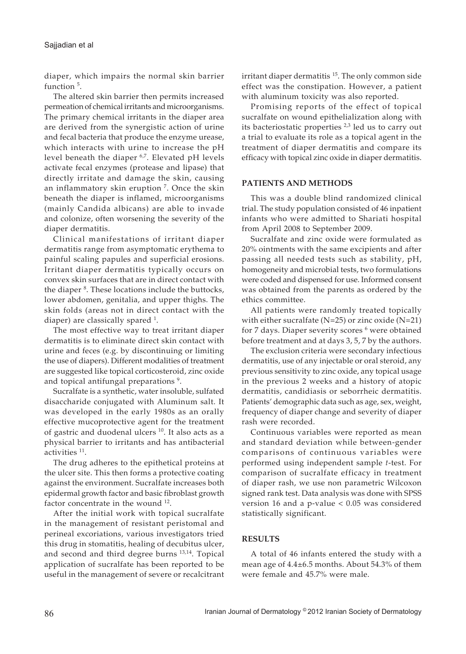diaper, which impairs the normal skin barrier function<sup>5</sup>.

The altered skin barrier then permits increased permeation of chemical irritants and microorganisms. The primary chemical irritants in the diaper area are derived from the synergistic action of urine and fecal bacteria that produce the enzyme urease, which interacts with urine to increase the pH level beneath the diaper <sup>6,7</sup>. Elevated pH levels activate fecal enzymes (protease and lipase) that directly irritate and damage the skin, causing an inflammatory skin eruption 7. Once the skin beneath the diaper is inflamed, microorganisms (mainly Candida albicans) are able to invade and colonize, often worsening the severity of the diaper dermatitis.

Clinical manifestations of irritant diaper dermatitis range from asymptomatic erythema to painful scaling papules and superficial erosions. Irritant diaper dermatitis typically occurs on convex skin surfaces that are in direct contact with the diaper <sup>8</sup>. These locations include the buttocks, lower abdomen, genitalia, and upper thighs. The skin folds (areas not in direct contact with the diaper) are classically spared  $^1$ .

The most effective way to treat irritant diaper dermatitis is to eliminate direct skin contact with urine and feces (e.g. by discontinuing or limiting the use of diapers). Different modalities of treatment are suggested like topical corticosteroid, zinc oxide and topical antifungal preparations <sup>9</sup>.

Sucralfate is a synthetic, water insoluble, sulfated disaccharide conjugated with Aluminum salt. It was developed in the early 1980s as an orally effective mucoprotective agent for the treatment of gastric and duodenal ulcers <sup>10</sup>. It also acts as a physical barrier to irritants and has antibacterial activities<sup>11</sup>.

The drug adheres to the epithetical proteins at the ulcer site. This then forms a protective coating against the environment. Sucralfate increases both epidermal growth factor and basic fibroblast growth factor concentrate in the wound <sup>12</sup>.

After the initial work with topical sucralfate in the management of resistant peristomal and perineal excoriations, various investigators tried this drug in stomatitis, healing of decubitus ulcer, and second and third degree burns 13,14. Topical application of sucralfate has been reported to be useful in the management of severe or recalcitrant

irritant diaper dermatitis<sup>15</sup>. The only common side effect was the constipation. However, a patient with aluminum toxicity was also reported.

Promising reports of the effect of topical sucralfate on wound epithelialization along with its bacteriostatic properties  $2,3$  led us to carry out a trial to evaluate its role as a topical agent in the treatment of diaper dermatitis and compare its efficacy with topical zinc oxide in diaper dermatitis.

## **Patients and Methods**

This was a double blind randomized clinical trial. The study population consisted of 46 inpatient infants who were admitted to Shariati hospital from April 2008 to September 2009.

Sucralfate and zinc oxide were formulated as 20% ointments with the same excipients and after passing all needed tests such as stability, pH, homogeneity and microbial tests, two formulations were coded and dispensed for use. Informed consent was obtained from the parents as ordered by the ethics committee.

All patients were randomly treated topically with either sucralfate ( $N=25$ ) or zinc oxide ( $N=21$ ) for 7 days. Diaper severity scores <sup>6</sup> were obtained before treatment and at days 3, 5, 7 by the authors.

The exclusion criteria were secondary infectious dermatitis, use of any injectable or oral steroid, any previous sensitivity to zinc oxide, any topical usage in the previous 2 weeks and a history of atopic dermatitis, candidiasis or seborrheic dermatitis. Patients' demographic data such as age, sex, weight, frequency of diaper change and severity of diaper rash were recorded.

Continuous variables were reported as mean and standard deviation while between-gender comparisons of continuous variables were performed using independent sample *t*-test. For comparison of sucralfate efficacy in treatment of diaper rash, we use non parametric Wilcoxon signed rank test. Data analysis was done with SPSS version 16 and a p-value < 0.05 was considered statistically significant.

## **Results**

A total of 46 infants entered the study with a mean age of 4.4±6.5 months. About 54.3% of them were female and 45.7% were male.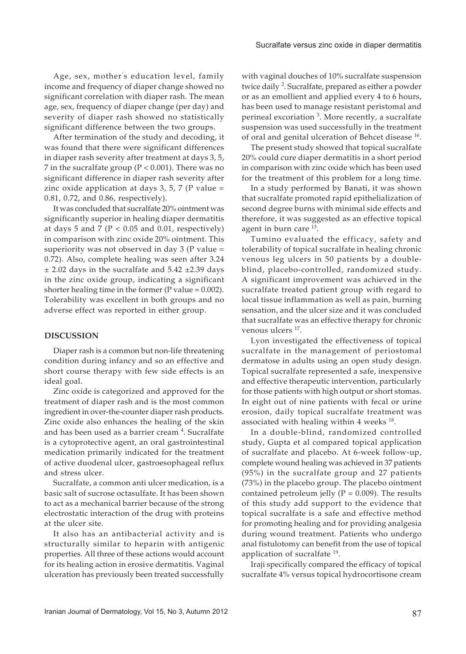Age, sex, mother' s education level, family income and frequency of diaper change showed no significant correlation with diaper rash. The mean age, sex, frequency of diaper change (per day) and severity of diaper rash showed no statistically significant difference between the two groups.

After termination of the study and decoding, it was found that there were significant differences in diaper rash severity after treatment at days 3, 5, 7 in the sucralfate group (P < 0.001). There was no significant difference in diaper rash severity after zinc oxide application at days  $3, 5, 7$  (P value = 0.81, 0.72, and 0.86, respectively).

It was concluded that sucralfate 20% ointment was significantly superior in healing diaper dermatitis at days 5 and 7 ( $P < 0.05$  and 0.01, respectively) in comparison with zinc oxide 20% ointment. This superiority was not observed in day  $3$  (P value = 0.72). Also, complete healing was seen after 3.24  $\pm$  2.02 days in the sucralfate and 5.42  $\pm$ 2.39 days in the zinc oxide group, indicating a significant shorter healing time in the former ( $P$  value = 0.002). Tolerability was excellent in both groups and no adverse effect was reported in either group.

### **Discussion**

Diaper rash is a common but non-life threatening condition during infancy and so an effective and short course therapy with few side effects is an ideal goal.

Zinc oxide is categorized and approved for the treatment of diaper rash and is the most common ingredient in over-the-counter diaper rash products. Zinc oxide also enhances the healing of the skin and has been used as a barrier cream <sup>4</sup>. Sucralfate is a cytoprotective agent, an oral gastrointestinal medication primarily indicated for the treatment of active duodenal ulcer, gastroesophageal reflux and stress ulcer.

Sucralfate, a common anti ulcer medication, is a basic salt of sucrose octasulfate. It has been shown to act as a mechanical barrier because of the strong electrostatic interaction of the drug with proteins at the ulcer site.

It also has an antibacterial activity and is structurally similar to heparin with antigenic properties. All three of these actions would account for its healing action in erosive dermatitis. Vaginal ulceration has previously been treated successfully

with vaginal douches of 10% sucralfate suspension twice daily <sup>2</sup>. Sucralfate, prepared as either a powder or as an emollient and applied every 4 to 6 hours, has been used to manage resistant peristomal and perineal excoriation <sup>3</sup>. More recently, a sucralfate suspension was used successfully in the treatment of oral and genital ulceration of Behcet disease 16.

The present study showed that topical sucralfate 20% could cure diaper dermatitis in a short period in comparison with zinc oxide which has been used for the treatment of this problem for a long time.

In a study performed by Banati, it was shown that sucralfate promoted rapid epithelialization of second degree burns with minimal side effects and therefore, it was suggested as an effective topical agent in burn care <sup>13</sup>.

Tumino evaluated the efficacy, safety and tolerability of topical sucralfate in healing chronic venous leg ulcers in 50 patients by a doubleblind, placebo-controlled, randomized study. A significant improvement was achieved in the sucralfate treated patient group with regard to local tissue inflammation as well as pain, burning sensation, and the ulcer size and it was concluded that sucralfate was an effective therapy for chronic venous ulcers  $17$ .

Lyon investigated the effectiveness of topical sucralfate in the management of periostomal dermatose in adults using an open study design. Topical sucralfate represented a safe, inexpensive and effective therapeutic intervention, particularly for those patients with high output or short stomas. In eight out of nine patients with fecal or urine erosion, daily topical sucralfate treatment was associated with healing within 4 weeks  $^{18}$ .

In a double-blind, randomized controlled study, Gupta et al compared topical application of sucralfate and placebo. At 6-week follow-up, complete wound healing was achieved in 37 patients (95%) in the sucralfate group and 27 patients (73%) in the placebo group. The placebo ointment contained petroleum jelly ( $P = 0.009$ ). The results of this study add support to the evidence that topical sucralfate is a safe and effective method for promoting healing and for providing analgesia during wound treatment. Patients who undergo anal fistulotomy can benefit from the use of topical application of sucralfate 19.

Iraji specifically compared the efficacy of topical sucralfate 4% versus topical hydrocortisone cream